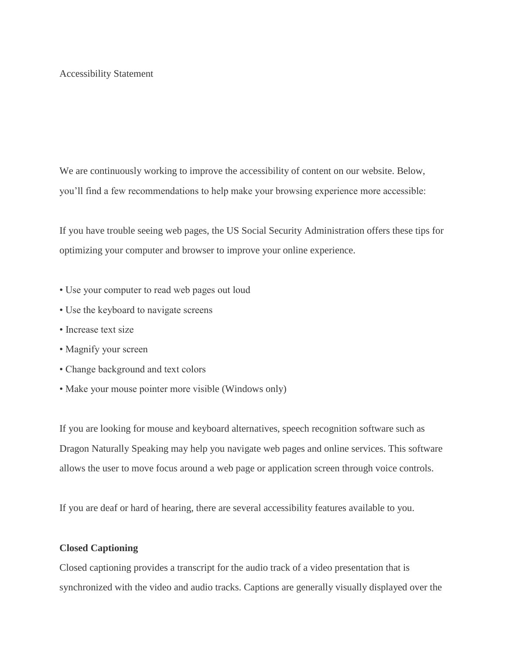## Accessibility Statement

We are continuously working to improve the accessibility of content on our website. Below, you'll find a few recommendations to help make your browsing experience more accessible:

If you have trouble seeing web pages, the US Social Security Administration offers these tips for optimizing your computer and browser to improve your online experience.

- Use your computer to read web pages out loud
- Use the keyboard to navigate screens
- Increase text size
- Magnify your screen
- Change background and text colors
- Make your mouse pointer more visible (Windows only)

If you are looking for mouse and keyboard alternatives, speech recognition software such as Dragon Naturally Speaking may help you navigate web pages and online services. This software allows the user to move focus around a web page or application screen through voice controls.

If you are deaf or hard of hearing, there are several accessibility features available to you.

## **Closed Captioning**

Closed captioning provides a transcript for the audio track of a video presentation that is synchronized with the video and audio tracks. Captions are generally visually displayed over the